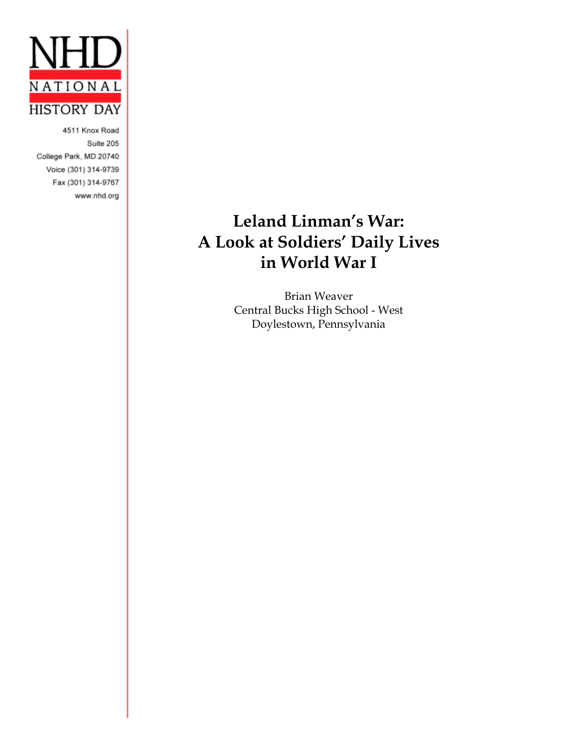

4511 Knox Road Suite 205 College Park, MD 20740 Voice (301) 314-9739 Fax (301) 314-9767 www.nhd.org

# **Leland Linman's War: A Look at Soldiers' Daily Lives in World War I**

Brian Weaver Central Bucks High School - West Doylestown, Pennsylvania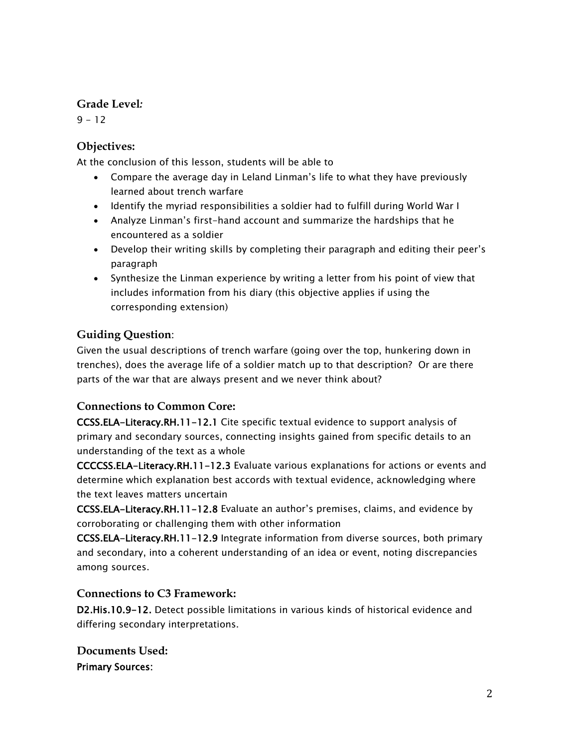## **Grade Level***:*

 $9 - 12$ 

## **Objectives:**

At the conclusion of this lesson, students will be able to

- Compare the average day in Leland Linman's life to what they have previously learned about trench warfare
- Identify the myriad responsibilities a soldier had to fulfill during World War I
- Analyze Linman's first-hand account and summarize the hardships that he encountered as a soldier
- Develop their writing skills by completing their paragraph and editing their peer's paragraph
- Synthesize the Linman experience by writing a letter from his point of view that includes information from his diary (this objective applies if using the corresponding extension)

# **Guiding Question**:

Given the usual descriptions of trench warfare (going over the top, hunkering down in trenches), does the average life of a soldier match up to that description? Or are there parts of the war that are always present and we never think about?

## **Connections to Common Core:**

CCSS.ELA-Literacy.RH.11-12.1 Cite specific textual evidence to support analysis of primary and secondary sources, connecting insights gained from specific details to an understanding of the text as a whole

CCCCSS.ELA-Literacy.RH.11-12.3 Evaluate various explanations for actions or events and determine which explanation best accords with textual evidence, acknowledging where the text leaves matters uncertain

CCSS.ELA-Literacy.RH.11-12.8 Evaluate an author's premises, claims, and evidence by corroborating or challenging them with other information

CCSS.ELA-Literacy.RH.11-12.9 Integrate information from diverse sources, both primary and secondary, into a coherent understanding of an idea or event, noting discrepancies among sources.

## **Connections to C3 Framework:**

D2.His.10.9-12. Detect possible limitations in various kinds of historical evidence and differing secondary interpretations.

**Documents Used:** Primary Sources: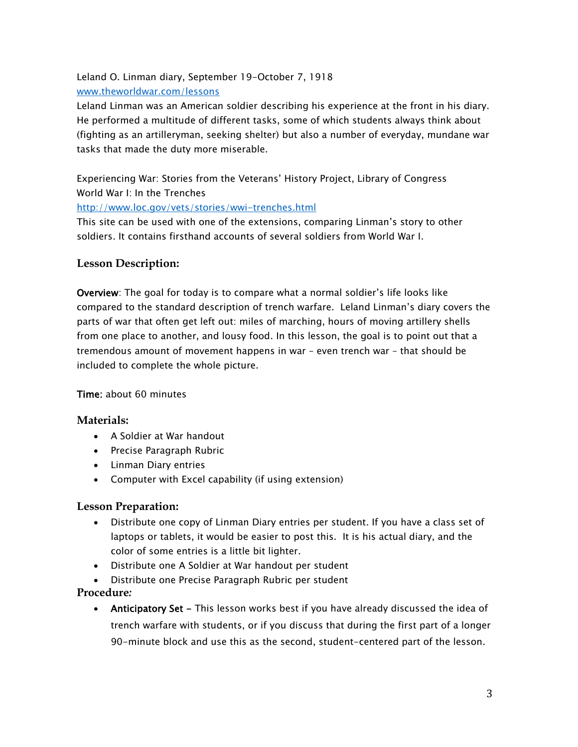Leland O. Linman diary, September 19-October 7, 1918 [www.theworldwar.com/lessons](http://www.theworldwar.com/lessons)

Leland Linman was an American soldier describing his experience at the front in his diary. He performed a multitude of different tasks, some of which students always think about (fighting as an artilleryman, seeking shelter) but also a number of everyday, mundane war tasks that made the duty more miserable.

Experiencing War: Stories from the Veterans' History Project, Library of Congress World War I: In the Trenches

#### <http://www.loc.gov/vets/stories/wwi-trenches.html>

This site can be used with one of the extensions, comparing Linman's story to other soldiers. It contains firsthand accounts of several soldiers from World War I.

## **Lesson Description:**

Overview: The goal for today is to compare what a normal soldier's life looks like compared to the standard description of trench warfare. Leland Linman's diary covers the parts of war that often get left out: miles of marching, hours of moving artillery shells from one place to another, and lousy food. In this lesson, the goal is to point out that a tremendous amount of movement happens in war – even trench war – that should be included to complete the whole picture.

## Time: about 60 minutes

## **Materials:**

- A Soldier at War handout
- Precise Paragraph Rubric
- Linman Diary entries
- Computer with Excel capability (if using extension)

## **Lesson Preparation:**

- Distribute one copy of Linman Diary entries per student. If you have a class set of laptops or tablets, it would be easier to post this. It is his actual diary, and the color of some entries is a little bit lighter.
- Distribute one A Soldier at War handout per student
- Distribute one Precise Paragraph Rubric per student

## **Procedure***:*

• Anticipatory Set - This lesson works best if you have already discussed the idea of trench warfare with students, or if you discuss that during the first part of a longer 90-minute block and use this as the second, student-centered part of the lesson.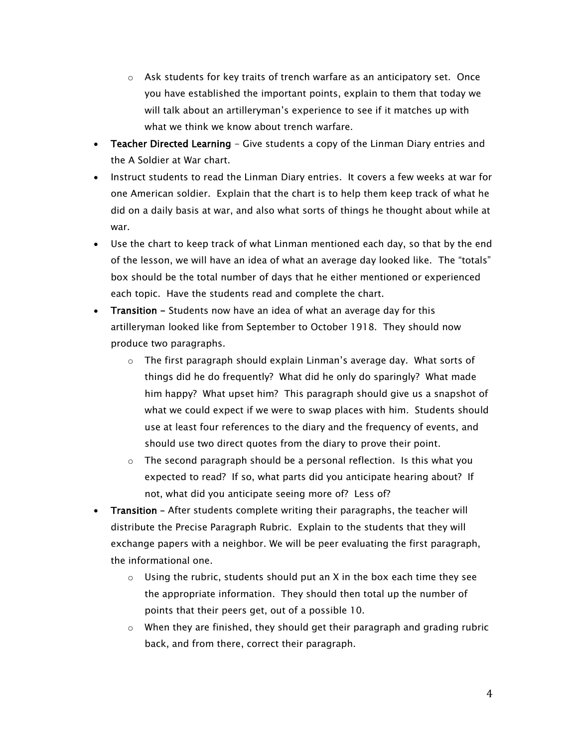- $\circ$  Ask students for key traits of trench warfare as an anticipatory set. Once you have established the important points, explain to them that today we will talk about an artilleryman's experience to see if it matches up with what we think we know about trench warfare.
- Teacher Directed Learning Give students a copy of the Linman Diary entries and the A Soldier at War chart.
- Instruct students to read the Linman Diary entries. It covers a few weeks at war for one American soldier. Explain that the chart is to help them keep track of what he did on a daily basis at war, and also what sorts of things he thought about while at war.
- Use the chart to keep track of what Linman mentioned each day, so that by the end of the lesson, we will have an idea of what an average day looked like. The "totals" box should be the total number of days that he either mentioned or experienced each topic. Have the students read and complete the chart.
- Transition Students now have an idea of what an average day for this artilleryman looked like from September to October 1918. They should now produce two paragraphs.
	- $\circ$  The first paragraph should explain Linman's average day. What sorts of things did he do frequently? What did he only do sparingly? What made him happy? What upset him? This paragraph should give us a snapshot of what we could expect if we were to swap places with him. Students should use at least four references to the diary and the frequency of events, and should use two direct quotes from the diary to prove their point.
	- $\circ$  The second paragraph should be a personal reflection. Is this what you expected to read? If so, what parts did you anticipate hearing about? If not, what did you anticipate seeing more of? Less of?
- Transition After students complete writing their paragraphs, the teacher will distribute the Precise Paragraph Rubric. Explain to the students that they will exchange papers with a neighbor. We will be peer evaluating the first paragraph, the informational one.
	- $\circ$  Using the rubric, students should put an X in the box each time they see the appropriate information. They should then total up the number of points that their peers get, out of a possible 10.
	- $\circ$  When they are finished, they should get their paragraph and grading rubric back, and from there, correct their paragraph.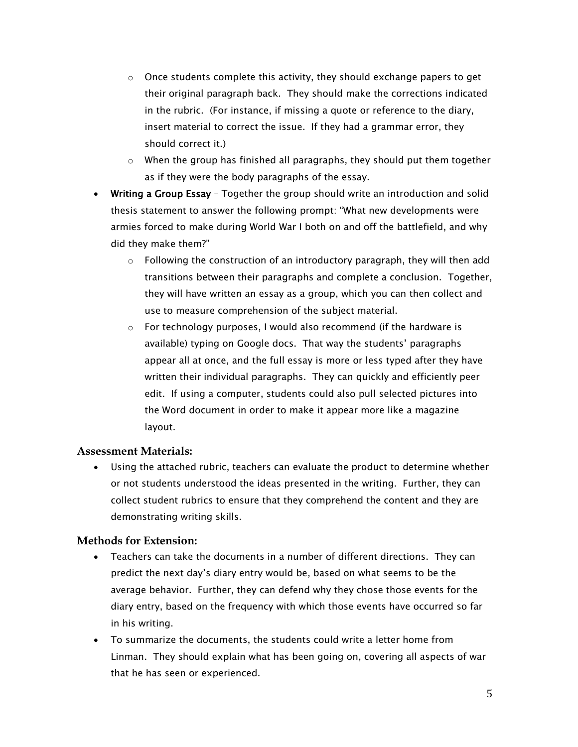- $\circ$  Once students complete this activity, they should exchange papers to get their original paragraph back. They should make the corrections indicated in the rubric. (For instance, if missing a quote or reference to the diary, insert material to correct the issue. If they had a grammar error, they should correct it.)
- $\circ$  When the group has finished all paragraphs, they should put them together as if they were the body paragraphs of the essay.
- Writing a Group Essay Together the group should write an introduction and solid thesis statement to answer the following prompt: "What new developments were armies forced to make during World War I both on and off the battlefield, and why did they make them?"
	- $\circ$  Following the construction of an introductory paragraph, they will then add transitions between their paragraphs and complete a conclusion. Together, they will have written an essay as a group, which you can then collect and use to measure comprehension of the subject material.
	- o For technology purposes, I would also recommend (if the hardware is available) typing on Google docs. That way the students' paragraphs appear all at once, and the full essay is more or less typed after they have written their individual paragraphs. They can quickly and efficiently peer edit. If using a computer, students could also pull selected pictures into the Word document in order to make it appear more like a magazine layout.

#### **Assessment Materials:**

 Using the attached rubric, teachers can evaluate the product to determine whether or not students understood the ideas presented in the writing. Further, they can collect student rubrics to ensure that they comprehend the content and they are demonstrating writing skills.

#### **Methods for Extension:**

- Teachers can take the documents in a number of different directions. They can predict the next day's diary entry would be, based on what seems to be the average behavior. Further, they can defend why they chose those events for the diary entry, based on the frequency with which those events have occurred so far in his writing.
- To summarize the documents, the students could write a letter home from Linman. They should explain what has been going on, covering all aspects of war that he has seen or experienced.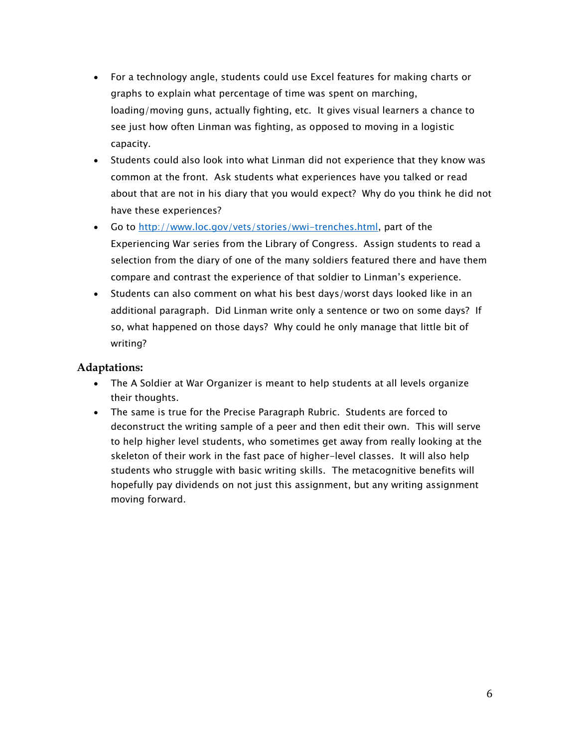- For a technology angle, students could use Excel features for making charts or graphs to explain what percentage of time was spent on marching, loading/moving guns, actually fighting, etc. It gives visual learners a chance to see just how often Linman was fighting, as opposed to moving in a logistic capacity.
- Students could also look into what Linman did not experience that they know was common at the front. Ask students what experiences have you talked or read about that are not in his diary that you would expect? Why do you think he did not have these experiences?
- Go to [http://www.loc.gov/vets/stories/wwi-trenches.html,](http://www.loc.gov/vets/stories/wwi-trenches.html) part of the Experiencing War series from the Library of Congress. Assign students to read a selection from the diary of one of the many soldiers featured there and have them compare and contrast the experience of that soldier to Linman's experience.
- Students can also comment on what his best days/worst days looked like in an additional paragraph. Did Linman write only a sentence or two on some days? If so, what happened on those days? Why could he only manage that little bit of writing?

#### **Adaptations:**

- The A Soldier at War Organizer is meant to help students at all levels organize their thoughts.
- The same is true for the Precise Paragraph Rubric. Students are forced to deconstruct the writing sample of a peer and then edit their own. This will serve to help higher level students, who sometimes get away from really looking at the skeleton of their work in the fast pace of higher-level classes. It will also help students who struggle with basic writing skills. The metacognitive benefits will hopefully pay dividends on not just this assignment, but any writing assignment moving forward.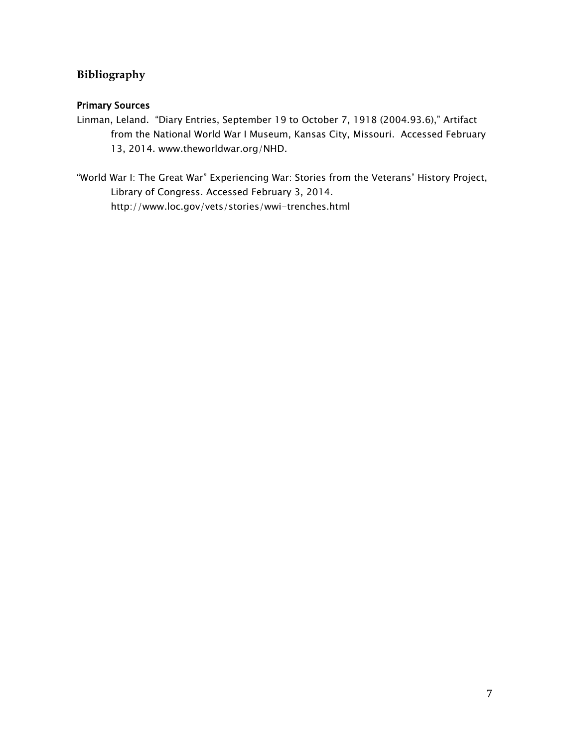# **Bibliography**

#### Primary Sources

- Linman, Leland. "Diary Entries, September 19 to October 7, 1918 (2004.93.6)," Artifact from the National World War I Museum, Kansas City, Missouri. Accessed February 13, 2014. www.theworldwar.org/NHD.
- "World War I: The Great War" Experiencing War: Stories from the Veterans' History Project, Library of Congress. Accessed February 3, 2014. http://www.loc.gov/vets/stories/wwi-trenches.html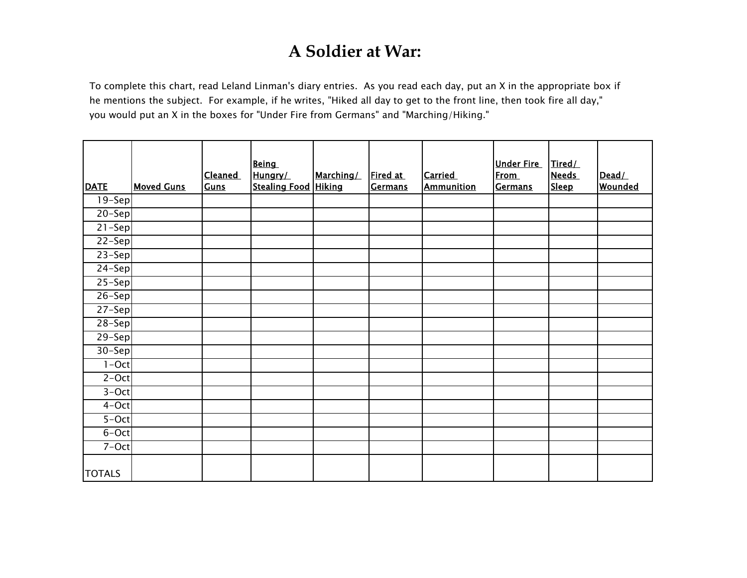# **A Soldier at War:**

To complete this chart, read Leland Linman's diary entries. As you read each day, put an X in the appropriate box if he mentions the subject. For example, if he writes, "Hiked all day to get to the front line, then took fire all day," you would put an X in the boxes for "Under Fire from Germans" and "Marching/Hiking."

| <b>DATE</b>   | <b>Moved Guns</b> | <b>Cleaned</b><br><b>Guns</b> | <b>Being</b><br>Hungry/<br><b>Stealing Food</b> | Marching/<br><b>Hiking</b> | Fired at<br><b>Germans</b> | <b>Carried</b><br><b>Ammunition</b> | <b>Under Fire</b><br><b>From</b><br>Germans | Tired/<br><b>Needs</b><br><b>Sleep</b> | Dead/<br><b>Wounded</b> |
|---------------|-------------------|-------------------------------|-------------------------------------------------|----------------------------|----------------------------|-------------------------------------|---------------------------------------------|----------------------------------------|-------------------------|
| $19-$ Sep     |                   |                               |                                                 |                            |                            |                                     |                                             |                                        |                         |
| $20 - Sep$    |                   |                               |                                                 |                            |                            |                                     |                                             |                                        |                         |
| $21 - Sep$    |                   |                               |                                                 |                            |                            |                                     |                                             |                                        |                         |
| $22-Sep$      |                   |                               |                                                 |                            |                            |                                     |                                             |                                        |                         |
| $23-Sep$      |                   |                               |                                                 |                            |                            |                                     |                                             |                                        |                         |
| $24-Sep$      |                   |                               |                                                 |                            |                            |                                     |                                             |                                        |                         |
| $25 - Sep$    |                   |                               |                                                 |                            |                            |                                     |                                             |                                        |                         |
| $26 - Sep$    |                   |                               |                                                 |                            |                            |                                     |                                             |                                        |                         |
| $27-$ Sep     |                   |                               |                                                 |                            |                            |                                     |                                             |                                        |                         |
| 28-Sep        |                   |                               |                                                 |                            |                            |                                     |                                             |                                        |                         |
| $29-$ Sep     |                   |                               |                                                 |                            |                            |                                     |                                             |                                        |                         |
| $30 - Sep$    |                   |                               |                                                 |                            |                            |                                     |                                             |                                        |                         |
| $1 - Oct$     |                   |                               |                                                 |                            |                            |                                     |                                             |                                        |                         |
| $2-Oct$       |                   |                               |                                                 |                            |                            |                                     |                                             |                                        |                         |
| $3-Oct$       |                   |                               |                                                 |                            |                            |                                     |                                             |                                        |                         |
| 4-Oct         |                   |                               |                                                 |                            |                            |                                     |                                             |                                        |                         |
| 5-Oct         |                   |                               |                                                 |                            |                            |                                     |                                             |                                        |                         |
| 6-Oct         |                   |                               |                                                 |                            |                            |                                     |                                             |                                        |                         |
| 7-Oct         |                   |                               |                                                 |                            |                            |                                     |                                             |                                        |                         |
| <b>TOTALS</b> |                   |                               |                                                 |                            |                            |                                     |                                             |                                        |                         |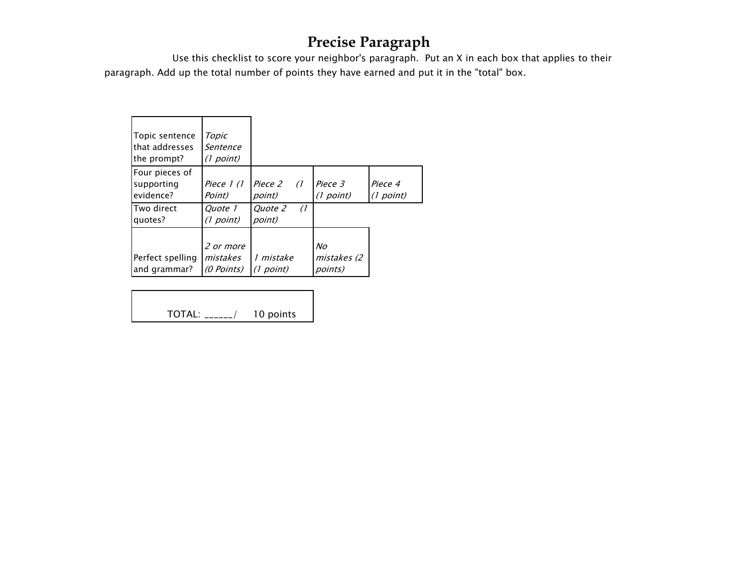# **Precise Paragraph**

Use this checklist to score your neighbor's paragraph. Put an X in each box that applies to their paragraph. Add up the total number of points they have earned and put it in the "total" box.

| Topic sentence<br>that addresses<br>the prompt? | Topic<br>Sentence<br>(1 point)      |                                 |                              |                      |
|-------------------------------------------------|-------------------------------------|---------------------------------|------------------------------|----------------------|
| Four pieces of<br>supporting<br>evidence?       | Piece 1 (1<br>Point)                | Piece 2 (1<br>point)            | Piece 3<br>(1 point)         | Piece 4<br>(1 point) |
| Two direct<br>quotes?                           | <i>Ouote 1</i><br>(1 point)         | Quote 2<br>$\sqrt{1}$<br>point) |                              |                      |
| Perfect spelling<br>and grammar?                | 2 or more<br>mistakes<br>(0 Points) | 1 mistake<br>(1 point)          | No<br>mistakes (2<br>points) |                      |

| $\mathsf{TOTAL}:$ / | 10 points |
|---------------------|-----------|